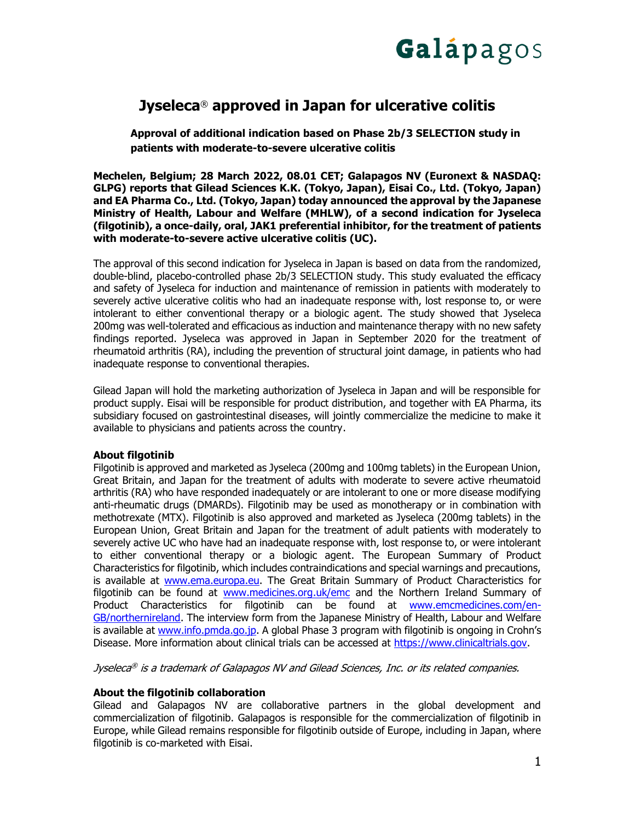

## **Jyseleca**® **approved in Japan for ulcerative colitis**

**Approval of additional indication based on Phase 2b/3 SELECTION study in patients with moderate-to-severe ulcerative colitis** 

**Mechelen, Belgium; 28 March 2022, 08.01 CET; Galapagos NV (Euronext & NASDAQ: GLPG) reports that Gilead Sciences K.K. (Tokyo, Japan), Eisai Co., Ltd. (Tokyo, Japan) and EA Pharma Co., Ltd. (Tokyo, Japan) today announced the approval by the Japanese Ministry of Health, Labour and Welfare (MHLW), of a second indication for Jyseleca (filgotinib), a once-daily, oral, JAK1 preferential inhibitor, for the treatment of patients with moderate-to-severe active ulcerative colitis (UC).**

The approval of this second indication for Jyseleca in Japan is based on data from the randomized, double-blind, placebo-controlled phase 2b/3 SELECTION study. This study evaluated the efficacy and safety of Jyseleca for induction and maintenance of remission in patients with moderately to severely active ulcerative colitis who had an inadequate response with, lost response to, or were intolerant to either conventional therapy or a biologic agent. The study showed that Jyseleca 200mg was well-tolerated and efficacious as induction and maintenance therapy with no new safety findings reported. Jyseleca was approved in Japan in September 2020 for the treatment of rheumatoid arthritis (RA), including the prevention of structural joint damage, in patients who had inadequate response to conventional therapies.

Gilead Japan will hold the marketing authorization of Jyseleca in Japan and will be responsible for product supply. Eisai will be responsible for product distribution, and together with EA Pharma, its subsidiary focused on gastrointestinal diseases, will jointly commercialize the medicine to make it available to physicians and patients across the country.

#### **About filgotinib**

Filgotinib is approved and marketed as Jyseleca (200mg and 100mg tablets) in the European Union, Great Britain, and Japan for the treatment of adults with moderate to severe active rheumatoid arthritis (RA) who have responded inadequately or are intolerant to one or more disease modifying anti-rheumatic drugs (DMARDs). Filgotinib may be used as monotherapy or in combination with methotrexate (MTX). Filgotinib is also approved and marketed as Jyseleca (200mg tablets) in the European Union, Great Britain and Japan for the treatment of adult patients with moderately to severely active UC who have had an inadequate response with, lost response to, or were intolerant to either conventional therapy or a biologic agent. The European Summary of Product Characteristics for filgotinib, which includes contraindications and special warnings and precautions, is available at [www.ema.europa.eu.](http://www.ema.europa.eu/) The Great Britain Summary of Product Characteristics for filgotinib can be found at [www.medicines.org.uk/emc](https://glpgglobal.sharepoint.com/sites/apps-press/PressReleases/CHMP%20Opinion%20-%20Filgotinib%20UC/www.medicines.org.uk/emc) and the Northern Ireland Summary of Product Characteristics for filgotinib can be found at [www.emcmedicines.com/en-](http://www.emcmedicines.com/en-GB/northernireland)[GB/northernireland.](http://www.emcmedicines.com/en-GB/northernireland) The interview form from the Japanese Ministry of Health, Labour and Welfare is available at [www.info.pmda.go.jp.](http://www.info.pmda.go.jp/) A global Phase 3 program with filgotinib is ongoing in Crohn's Disease. More information about clinical trials can be accessed at [https://www.clinicaltrials.gov.](https://www.clinicaltrials.gov/)

Jyseleca ® is a trademark of Galapagos NV and Gilead Sciences, Inc. or its related companies.

#### **About the filgotinib collaboration**

Gilead and Galapagos NV are collaborative partners in the global development and commercialization of filgotinib. Galapagos is responsible for the commercialization of filgotinib in Europe, while Gilead remains responsible for filgotinib outside of Europe, including in Japan, where filgotinib is co-marketed with Eisai.